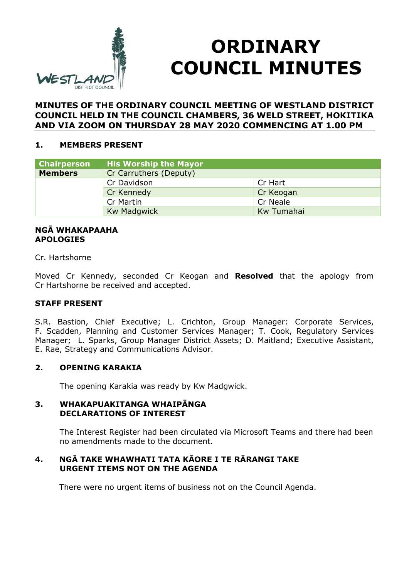

# **ORDINARY COUNCIL MINUTES**

# **MINUTES OF THE ORDINARY COUNCIL MEETING OF WESTLAND DISTRICT COUNCIL HELD IN THE COUNCIL CHAMBERS, 36 WELD STREET, HOKITIKA AND VIA ZOOM ON THURSDAY 28 MAY 2020 COMMENCING AT 1.00 PM**

# **1. MEMBERS PRESENT**

| <b>Chairperson</b> | <b>His Worship the Mayor</b> |            |
|--------------------|------------------------------|------------|
| <b>Members</b>     | Cr Carruthers (Deputy)       |            |
|                    | Cr Davidson                  | Cr Hart    |
|                    | Cr Kennedy                   | Cr Keogan  |
|                    | Cr Martin                    | Cr Neale   |
|                    | <b>Kw Madgwick</b>           | Kw Tumahai |

#### **NGĀ WHAKAPAAHA APOLOGIES**

Cr. Hartshorne

Moved Cr Kennedy, seconded Cr Keogan and **Resolved** that the apology from Cr Hartshorne be received and accepted.

# **STAFF PRESENT**

S.R. Bastion, Chief Executive; L. Crichton, Group Manager: Corporate Services, F. Scadden, Planning and Customer Services Manager; T. Cook, Regulatory Services Manager; L. Sparks, Group Manager District Assets; D. Maitland; Executive Assistant, E. Rae, Strategy and Communications Advisor.

# **2. OPENING KARAKIA**

The opening Karakia was ready by Kw Madgwick.

#### **3. WHAKAPUAKITANGA WHAIPĀNGA DECLARATIONS OF INTEREST**

The Interest Register had been circulated via Microsoft Teams and there had been no amendments made to the document.

# **4. NGĀ TAKE WHAWHATI TATA KĀORE I TE RĀRANGI TAKE URGENT ITEMS NOT ON THE AGENDA**

There were no urgent items of business not on the Council Agenda.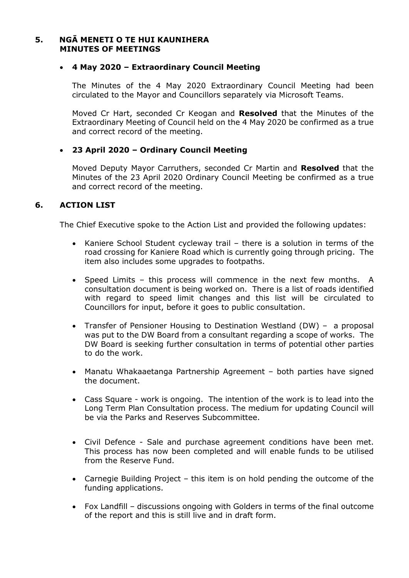#### **5. NGĀ MENETI O TE HUI KAUNIHERA MINUTES OF MEETINGS**

#### **4 May 2020 – Extraordinary Council Meeting**

The Minutes of the 4 May 2020 Extraordinary Council Meeting had been circulated to the Mayor and Councillors separately via Microsoft Teams.

Moved Cr Hart, seconded Cr Keogan and **Resolved** that the Minutes of the Extraordinary Meeting of Council held on the 4 May 2020 be confirmed as a true and correct record of the meeting.

# **23 April 2020 – Ordinary Council Meeting**

Moved Deputy Mayor Carruthers, seconded Cr Martin and **Resolved** that the Minutes of the 23 April 2020 Ordinary Council Meeting be confirmed as a true and correct record of the meeting.

# **6. ACTION LIST**

The Chief Executive spoke to the Action List and provided the following updates:

- Kaniere School Student cycleway trail there is a solution in terms of the road crossing for Kaniere Road which is currently going through pricing. The item also includes some upgrades to footpaths.
- Speed Limits this process will commence in the next few months. A consultation document is being worked on. There is a list of roads identified with regard to speed limit changes and this list will be circulated to Councillors for input, before it goes to public consultation.
- Transfer of Pensioner Housing to Destination Westland (DW) a proposal was put to the DW Board from a consultant regarding a scope of works. The DW Board is seeking further consultation in terms of potential other parties to do the work.
- Manatu Whakaaetanga Partnership Agreement both parties have signed the document.
- Cass Square work is ongoing. The intention of the work is to lead into the Long Term Plan Consultation process. The medium for updating Council will be via the Parks and Reserves Subcommittee.
- Civil Defence Sale and purchase agreement conditions have been met. This process has now been completed and will enable funds to be utilised from the Reserve Fund.
- Carnegie Building Project this item is on hold pending the outcome of the funding applications.
- Fox Landfill discussions ongoing with Golders in terms of the final outcome of the report and this is still live and in draft form.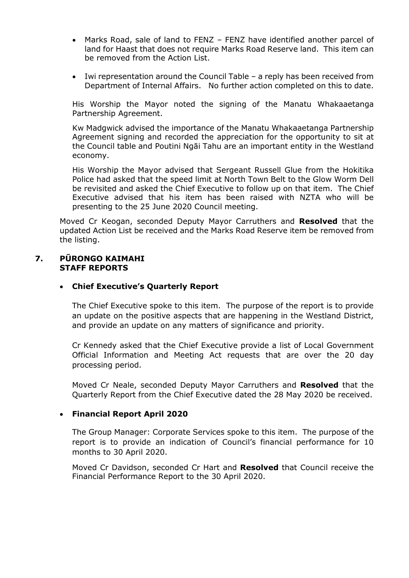- Marks Road, sale of land to FENZ FENZ have identified another parcel of land for Haast that does not require Marks Road Reserve land. This item can be removed from the Action List.
- Iwi representation around the Council Table a reply has been received from Department of Internal Affairs. No further action completed on this to date.

His Worship the Mayor noted the signing of the Manatu Whakaaetanga Partnership Agreement.

Kw Madgwick advised the importance of the Manatu Whakaaetanga Partnership Agreement signing and recorded the appreciation for the opportunity to sit at the Council table and Poutini Ngāi Tahu are an important entity in the Westland economy.

His Worship the Mayor advised that Sergeant Russell Glue from the Hokitika Police had asked that the speed limit at North Town Belt to the Glow Worm Dell be revisited and asked the Chief Executive to follow up on that item. The Chief Executive advised that his item has been raised with NZTA who will be presenting to the 25 June 2020 Council meeting.

Moved Cr Keogan, seconded Deputy Mayor Carruthers and **Resolved** that the updated Action List be received and the Marks Road Reserve item be removed from the listing.

#### **7. PŪRONGO KAIMAHI STAFF REPORTS**

# **Chief Executive's Quarterly Report**

The Chief Executive spoke to this item. The purpose of the report is to provide an update on the positive aspects that are happening in the Westland District, and provide an update on any matters of significance and priority.

Cr Kennedy asked that the Chief Executive provide a list of Local Government Official Information and Meeting Act requests that are over the 20 day processing period.

Moved Cr Neale, seconded Deputy Mayor Carruthers and **Resolved** that the Quarterly Report from the Chief Executive dated the 28 May 2020 be received.

# **Financial Report April 2020**

The Group Manager: Corporate Services spoke to this item. The purpose of the report is to provide an indication of Council's financial performance for 10 months to 30 April 2020.

Moved Cr Davidson, seconded Cr Hart and **Resolved** that Council receive the Financial Performance Report to the 30 April 2020.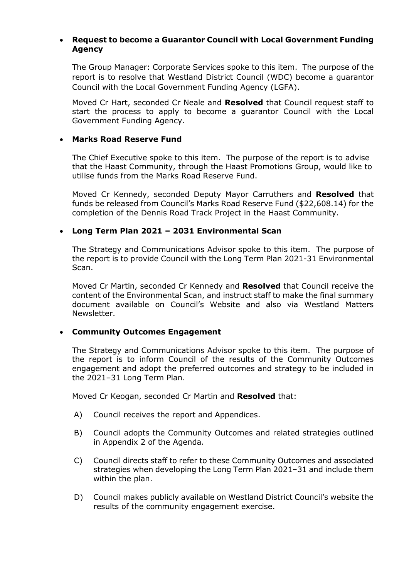#### **Request to become a Guarantor Council with Local Government Funding Agency**

The Group Manager: Corporate Services spoke to this item. The purpose of the report is to resolve that Westland District Council (WDC) become a guarantor Council with the Local Government Funding Agency (LGFA).

Moved Cr Hart, seconded Cr Neale and **Resolved** that Council request staff to start the process to apply to become a guarantor Council with the Local Government Funding Agency.

# **Marks Road Reserve Fund**

The Chief Executive spoke to this item. The purpose of the report is to advise that the Haast Community, through the Haast Promotions Group, would like to utilise funds from the Marks Road Reserve Fund.

Moved Cr Kennedy, seconded Deputy Mayor Carruthers and **Resolved** that funds be released from Council's Marks Road Reserve Fund (\$22,608.14) for the completion of the Dennis Road Track Project in the Haast Community.

#### **Long Term Plan 2021 – 2031 Environmental Scan**

The Strategy and Communications Advisor spoke to this item. The purpose of the report is to provide Council with the Long Term Plan 2021-31 Environmental Scan.

Moved Cr Martin, seconded Cr Kennedy and **Resolved** that Council receive the content of the Environmental Scan, and instruct staff to make the final summary document available on Council's Website and also via Westland Matters Newsletter.

# **Community Outcomes Engagement**

The Strategy and Communications Advisor spoke to this item. The purpose of the report is to inform Council of the results of the Community Outcomes engagement and adopt the preferred outcomes and strategy to be included in the 2021–31 Long Term Plan.

Moved Cr Keogan, seconded Cr Martin and **Resolved** that:

- A) Council receives the report and Appendices.
- B) Council adopts the Community Outcomes and related strategies outlined in Appendix 2 of the Agenda.
- C) Council directs staff to refer to these Community Outcomes and associated strategies when developing the Long Term Plan 2021–31 and include them within the plan.
- D) Council makes publicly available on Westland District Council's website the results of the community engagement exercise.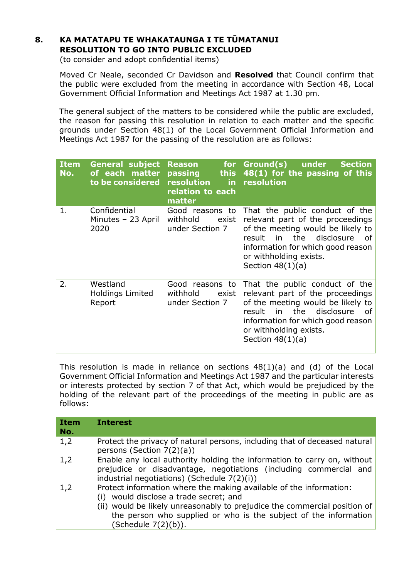# **8. KA MATATAPU TE WHAKATAUNGA I TE TŪMATANUI RESOLUTION TO GO INTO PUBLIC EXCLUDED**

(to consider and adopt confidential items)

 Moved Cr Neale, seconded Cr Davidson and **Resolved** that Council confirm that the public were excluded from the meeting in accordance with Section 48, Local Government Official Information and Meetings Act 1987 at 1.30 pm.

The general subject of the matters to be considered while the public are excluded, the reason for passing this resolution in relation to each matter and the specific grounds under Section 48(1) of the Local Government Official Information and Meetings Act 1987 for the passing of the resolution are as follows:

| <b>Item</b><br>No. | <b>General subject</b><br>of each matter<br>to be considered | for <b>s</b><br><b>Reason</b><br>passing<br><b>this</b><br>resolution<br>in.<br>relation to each<br>matter | Ground(s) under<br><b>Section</b><br>48(1) for the passing of this<br>resolution                                                                                                                                                          |
|--------------------|--------------------------------------------------------------|------------------------------------------------------------------------------------------------------------|-------------------------------------------------------------------------------------------------------------------------------------------------------------------------------------------------------------------------------------------|
| 1.                 | Confidential<br>Minutes - 23 April<br>2020                   | Good reasons to<br>withhold<br>exist<br>under Section 7                                                    | That the public conduct of the<br>relevant part of the proceedings<br>of the meeting would be likely to<br>disclosure<br>the<br>result<br>in l<br>οf<br>information for which good reason<br>or withholding exists.<br>Section $48(1)(a)$ |
| 2.                 | Westland<br><b>Holdings Limited</b><br>Report                | Good reasons to<br>withhold<br>exist<br>under Section 7                                                    | That the public conduct of the<br>relevant part of the proceedings<br>of the meeting would be likely to<br>disclosure<br>in.<br>the<br>result<br>οf<br>information for which good reason<br>or withholding exists.<br>Section $48(1)(a)$  |

This resolution is made in reliance on sections 48(1)(a) and (d) of the Local Government Official Information and Meetings Act 1987 and the particular interests or interests protected by section 7 of that Act, which would be prejudiced by the holding of the relevant part of the proceedings of the meeting in public are as follows:

| <b>Item</b><br>No. | <b>Interest</b>                                                                                                                                                                                                                                                                         |  |
|--------------------|-----------------------------------------------------------------------------------------------------------------------------------------------------------------------------------------------------------------------------------------------------------------------------------------|--|
| 1,2                | Protect the privacy of natural persons, including that of deceased natural<br>persons (Section $7(2)(a)$ )                                                                                                                                                                              |  |
| 1,2                | Enable any local authority holding the information to carry on, without<br>prejudice or disadvantage, negotiations (including commercial and<br>industrial negotiations) (Schedule 7(2)(i))                                                                                             |  |
| 1,2                | Protect information where the making available of the information:<br>would disclose a trade secret; and<br>(i)<br>(ii) would be likely unreasonably to prejudice the commercial position of<br>the person who supplied or who is the subject of the information<br>(Schedule 7(2)(b)). |  |